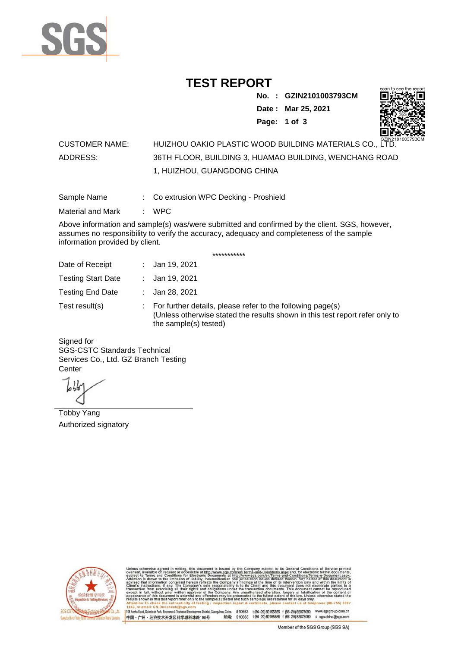

## **TEST REPORT**

**No. : GZIN2101003793CM**

**Date : Mar 25, 2021**



**Page: 1 of 3** 

## CUSTOMER NAME: HUIZHOU OAKIO PLASTIC WOOD BUILDING MATERIALS CO., LTD. ADDRESS: 36TH FLOOR, BUILDING 3, HUAMAO BUILDING, WENCHANG ROAD 1, HUIZHOU, GUANGDONG CHINA

Sample Name : Co extrusion WPC Decking - Proshield

Material and Mark : WPC

Above information and sample(s) was/were submitted and confirmed by the client. SGS, however, assumes no responsibility to verify the accuracy, adequacy and completeness of the sample information provided by client.

\*\*\*\*\*\*\*\*\*\*\*

| Date of Receipt           | : Jan 19, 2021                                                                                                                                                        |
|---------------------------|-----------------------------------------------------------------------------------------------------------------------------------------------------------------------|
| <b>Testing Start Date</b> | : Jan 19, 2021                                                                                                                                                        |
| <b>Testing End Date</b>   | : Jan 28, 2021                                                                                                                                                        |
| Test result(s)            | : For further details, please refer to the following page(s)<br>(Unless otherwise stated the results shown in this test report refer only to<br>the sample(s) tested) |

Signed for SGS-CSTC Standards Technical Services Co., Ltd. GZ Branch Testing **Center** 

Tobby Yang Authorized signatory



510663 t(86-20) 82155555 f (86-20) 82075080 www.sgsgroup.com.cn<br>510663 t(86-20) 82155555 f (86-20) 82075080 e sgs.china@sgs.com 198 Kezhu Road, Scientech Park, Eco nomic & Technical Devel tou, China. ant District G 邮编: 中国·广州·经济技术开发区科学城科珠路198号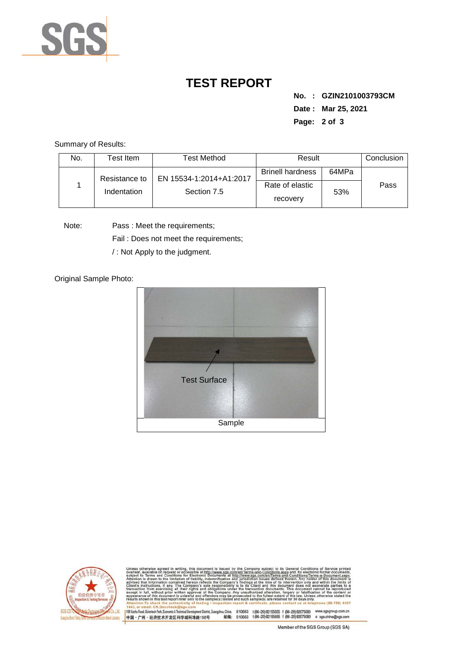

## **TEST REPORT**

**No. : GZIN2101003793CM Date : Mar 25, 2021 Page: 2 of 3** 

Summary of Results:

| No. | Test Item.    | <b>Test Method</b>                     | Result                      |       | Conclusion |
|-----|---------------|----------------------------------------|-----------------------------|-------|------------|
|     | Resistance to | EN 15534-1:2014+A1:2017<br>Section 7.5 | <b>Brinell hardness</b>     | 64MPa |            |
|     | Indentation   |                                        | Rate of elastic<br>recovery | 53%   | Pass       |

Note: Pass : Meet the requirements;

Fail : Does not meet the requirements;

/ : Not Apply to the judgment.

Original Sample Photo:





Conditions/Terms-e-Do<br>rein: Any holder of this nentDistrict,Guangzhou,China. 510663 t (86–20) 82155555 f (86–20) 82075080 www.sgsgroup.com.cn<br>格198号 邮编: 510663 t (86–20) 82155555 f (86–20) 82075080 e sgs.china@sgs.com 198 Kezhu Road, Scientech Park, Economic & Technical Develo 中国·广州·经济技术开发区科学城科珠路198号